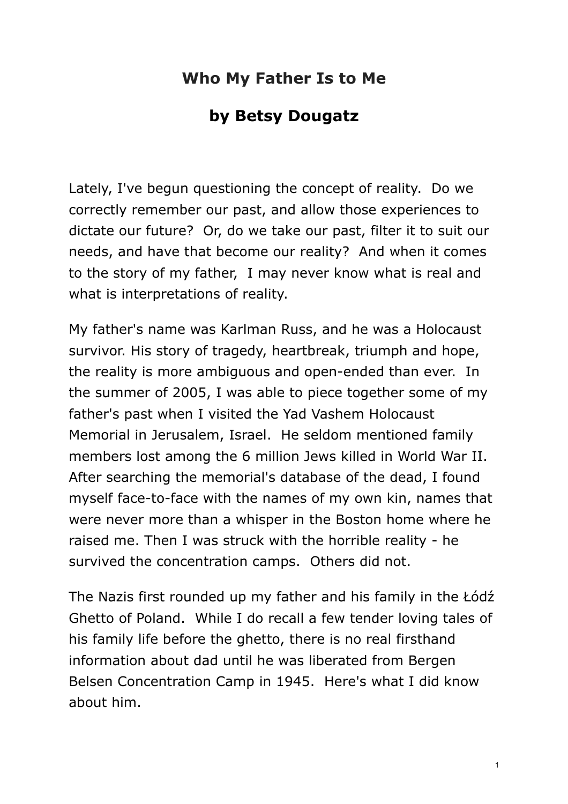## **Who My Father Is to Me**

## **by Betsy Dougatz**

Lately, I've begun questioning the concept of reality. Do we correctly remember our past, and allow those experiences to dictate our future? Or, do we take our past, filter it to suit our needs, and have that become our reality? And when it comes to the story of my father, I may never know what is real and what is interpretations of reality.

My father's name was Karlman Russ, and he was a Holocaust survivor. His story of tragedy, heartbreak, triumph and hope, the reality is more ambiguous and open-ended than ever. In the summer of 2005, I was able to piece together some of my father's past when I visited the Yad Vashem Holocaust Memorial in Jerusalem, Israel. He seldom mentioned family members lost among the 6 million Jews killed in World War II. After searching the memorial's database of the dead, I found myself face-to-face with the names of my own kin, names that were never more than a whisper in the Boston home where he raised me. Then I was struck with the horrible reality - he survived the concentration camps. Others did not.

The Nazis first rounded up my father and his family in the Łódź Ghetto of Poland. While I do recall a few tender loving tales of his family life before the ghetto, there is no real firsthand information about dad until he was liberated from Bergen Belsen Concentration Camp in 1945. Here's what I did know about him.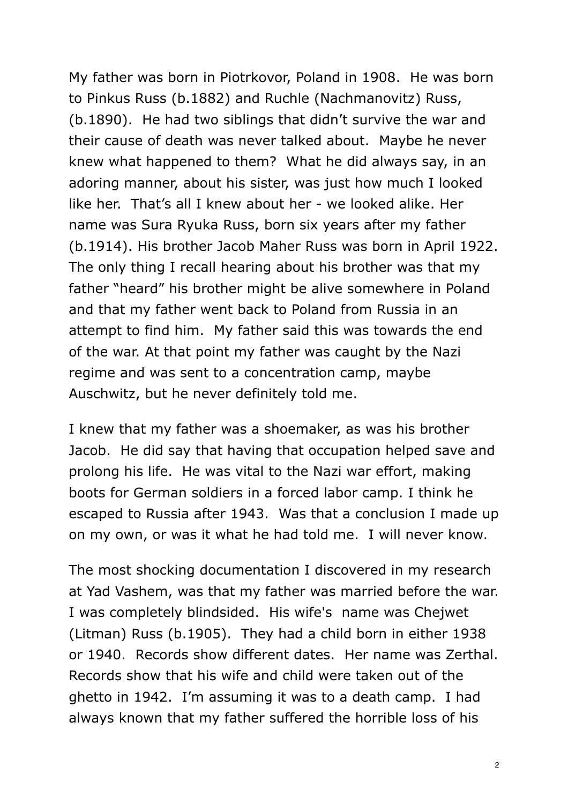My father was born in Piotrkovor, Poland in 1908. He was born to Pinkus Russ (b.1882) and Ruchle (Nachmanovitz) Russ, (b.1890). He had two siblings that didn't survive the war and their cause of death was never talked about. Maybe he never knew what happened to them? What he did always say, in an adoring manner, about his sister, was just how much I looked like her. That's all I knew about her - we looked alike. Her name was Sura Ryuka Russ, born six years after my father (b.1914). His brother Jacob Maher Russ was born in April 1922. The only thing I recall hearing about his brother was that my father "heard" his brother might be alive somewhere in Poland and that my father went back to Poland from Russia in an attempt to find him. My father said this was towards the end of the war. At that point my father was caught by the Nazi regime and was sent to a concentration camp, maybe Auschwitz, but he never definitely told me.

I knew that my father was a shoemaker, as was his brother Jacob. He did say that having that occupation helped save and prolong his life. He was vital to the Nazi war effort, making boots for German soldiers in a forced labor camp. I think he escaped to Russia after 1943. Was that a conclusion I made up on my own, or was it what he had told me. I will never know.

The most shocking documentation I discovered in my research at Yad Vashem, was that my father was married before the war. I was completely blindsided. His wife's name was Chejwet (Litman) Russ (b.1905). They had a child born in either 1938 or 1940. Records show different dates. Her name was Zerthal. Records show that his wife and child were taken out of the ghetto in 1942. I'm assuming it was to a death camp. I had always known that my father suffered the horrible loss of his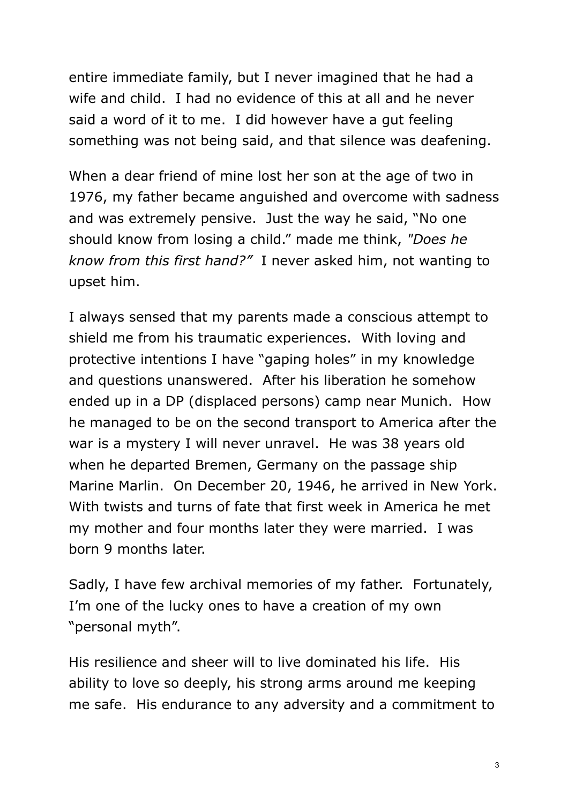entire immediate family, but I never imagined that he had a wife and child. I had no evidence of this at all and he never said a word of it to me. I did however have a gut feeling something was not being said, and that silence was deafening.

When a dear friend of mine lost her son at the age of two in 1976, my father became anguished and overcome with sadness and was extremely pensive. Just the way he said, "No one should know from losing a child." made me think, *"Does he know from this first hand?"* I never asked him, not wanting to upset him.

I always sensed that my parents made a conscious attempt to shield me from his traumatic experiences. With loving and protective intentions I have "gaping holes" in my knowledge and questions unanswered. After his liberation he somehow ended up in a DP (displaced persons) camp near Munich. How he managed to be on the second transport to America after the war is a mystery I will never unravel. He was 38 years old when he departed Bremen, Germany on the passage ship Marine Marlin. On December 20, 1946, he arrived in New York. With twists and turns of fate that first week in America he met my mother and four months later they were married. I was born 9 months later.

Sadly, I have few archival memories of my father. Fortunately, I'm one of the lucky ones to have a creation of my own "personal myth".

His resilience and sheer will to live dominated his life. His ability to love so deeply, his strong arms around me keeping me safe. His endurance to any adversity and a commitment to